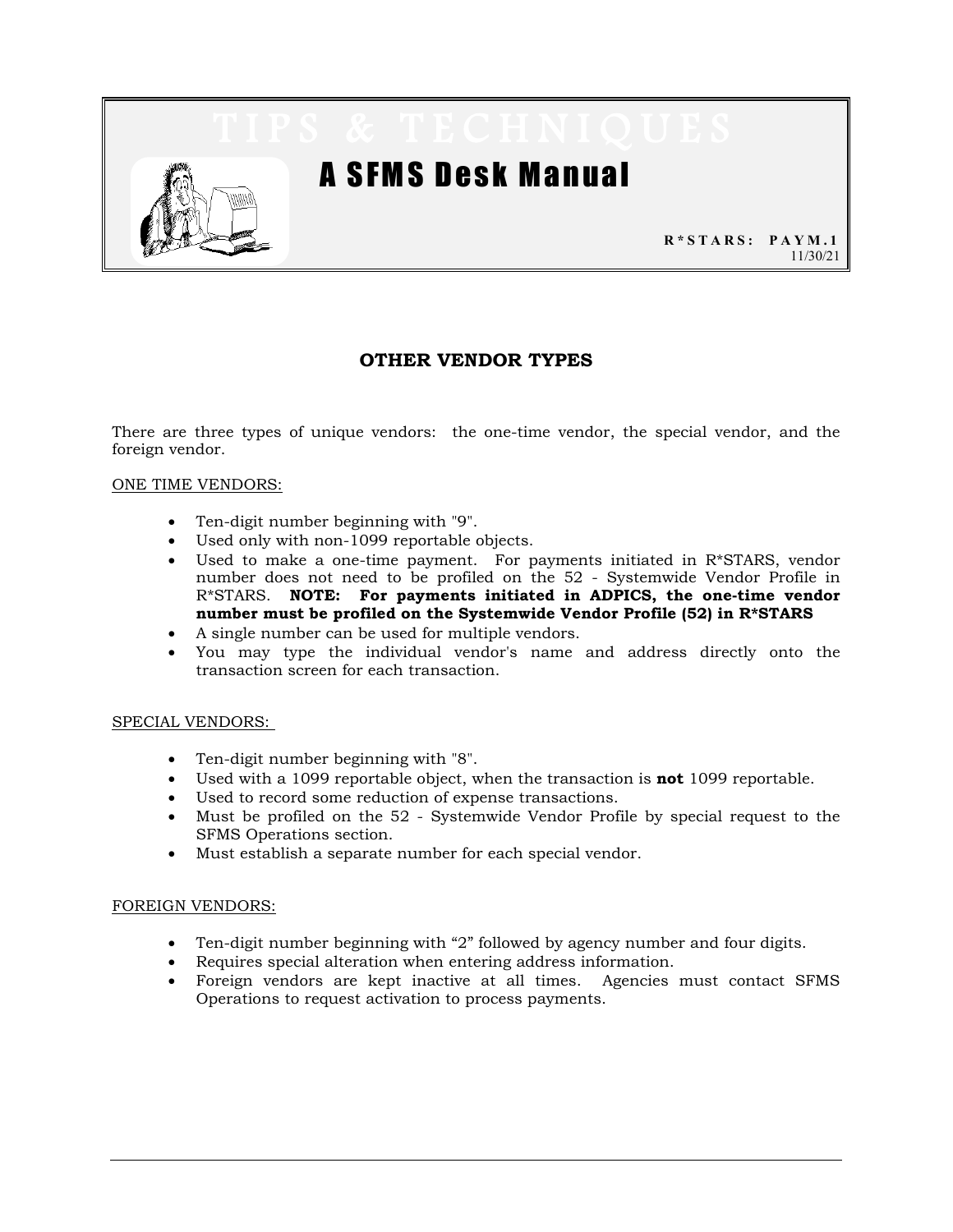

# A SFMS Desk Manual

**R\*STARS: PAYM.1** 11/30/21

# **OTHER VENDOR TYPES**

There are three types of unique vendors: the one-time vendor, the special vendor, and the foreign vendor.

### ONE TIME VENDORS:

- Ten-digit number beginning with "9".
- Used only with non-1099 reportable objects.
- Used to make a one-time payment. For payments initiated in R\*STARS, vendor number does not need to be profiled on the 52 - Systemwide Vendor Profile in R\*STARS. **NOTE: For payments initiated in ADPICS, the one-time vendor number must be profiled on the Systemwide Vendor Profile (52) in R\*STARS**
- A single number can be used for multiple vendors.
- You may type the individual vendor's name and address directly onto the transaction screen for each transaction.

#### SPECIAL VENDORS:

- Ten-digit number beginning with "8".
- Used with a 1099 reportable object, when the transaction is **not** 1099 reportable.
- Used to record some reduction of expense transactions.
- Must be profiled on the 52 Systemwide Vendor Profile by special request to the SFMS Operations section.
- Must establish a separate number for each special vendor.

### FOREIGN VENDORS:

- Ten-digit number beginning with "2" followed by agency number and four digits.
- Requires special alteration when entering address information.
- Foreign vendors are kept inactive at all times. Agencies must contact SFMS Operations to request activation to process payments.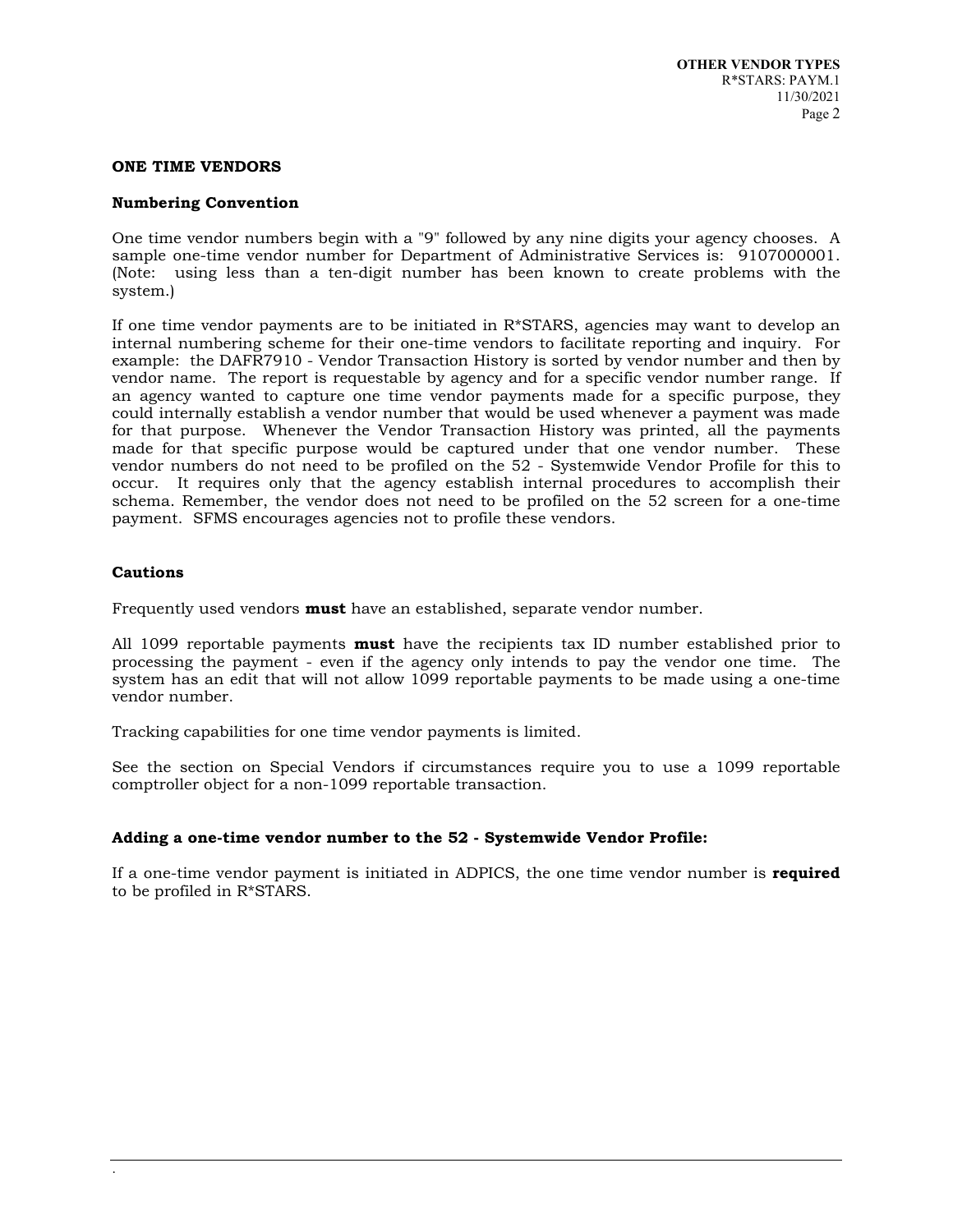#### **ONE TIME VENDORS**

#### **Numbering Convention**

One time vendor numbers begin with a "9" followed by any nine digits your agency chooses. A sample one-time vendor number for Department of Administrative Services is: 9107000001. (Note: using less than a ten-digit number has been known to create problems with the system.)

If one time vendor payments are to be initiated in  $R*STARS$ , agencies may want to develop an internal numbering scheme for their one-time vendors to facilitate reporting and inquiry. For example: the DAFR7910 - Vendor Transaction History is sorted by vendor number and then by vendor name. The report is requestable by agency and for a specific vendor number range. If an agency wanted to capture one time vendor payments made for a specific purpose, they could internally establish a vendor number that would be used whenever a payment was made for that purpose. Whenever the Vendor Transaction History was printed, all the payments made for that specific purpose would be captured under that one vendor number. These vendor numbers do not need to be profiled on the 52 - Systemwide Vendor Profile for this to occur. It requires only that the agency establish internal procedures to accomplish their schema. Remember, the vendor does not need to be profiled on the 52 screen for a one-time payment. SFMS encourages agencies not to profile these vendors.

#### **Cautions**

Frequently used vendors **must** have an established, separate vendor number.

All 1099 reportable payments **must** have the recipients tax ID number established prior to processing the payment - even if the agency only intends to pay the vendor one time. The system has an edit that will not allow 1099 reportable payments to be made using a one-time vendor number.

Tracking capabilities for one time vendor payments is limited.

See the section on Special Vendors if circumstances require you to use a 1099 reportable comptroller object for a non-1099 reportable transaction.

### **Adding a one-time vendor number to the 52 - Systemwide Vendor Profile:**

If a one-time vendor payment is initiated in ADPICS, the one time vendor number is **required** to be profiled in R\*STARS.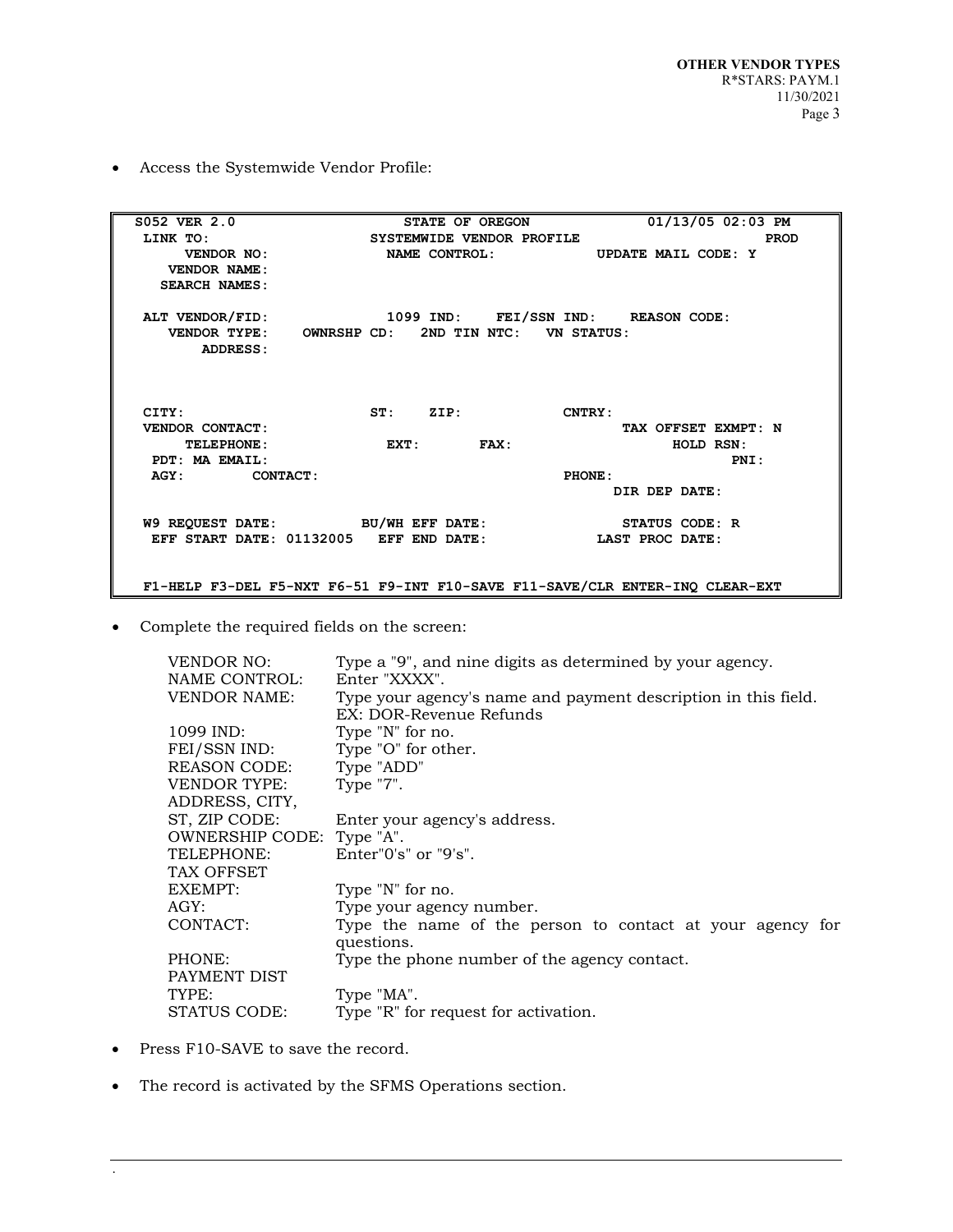• Access the Systemwide Vendor Profile:

| S052 VER 2.0                                        | STATE OF OREGON           | 01/13/05 02:03 PM                                                            |
|-----------------------------------------------------|---------------------------|------------------------------------------------------------------------------|
| LINK TO:                                            | SYSTEMWIDE VENDOR PROFILE | <b>PROD</b>                                                                  |
| VENDOR NO:                                          |                           | NAME CONTROL: UPDATE MAIL CODE: Y                                            |
| VENDOR NAME:                                        |                           |                                                                              |
| <b>SEARCH NAMES:</b>                                |                           |                                                                              |
|                                                     |                           |                                                                              |
| ALT VENDOR/FID: 1099 IND: FEI/SSN IND: REASON CODE: |                           |                                                                              |
| VENDOR TYPE: OWNRSHP CD: 2ND TIN NTC: VN STATUS:    |                           |                                                                              |
| ADDRESS:                                            |                           |                                                                              |
|                                                     |                           |                                                                              |
|                                                     |                           |                                                                              |
|                                                     |                           |                                                                              |
| CITY:                                               | ST: ZIP:                  | <b>CNTRY:</b>                                                                |
| VENDOR CONTACT:                                     |                           | TAX OFFSET EXMPT: N                                                          |
| <b>TELEPHONE:</b>                                   | EXT: FAX:                 | HOLD RSN:                                                                    |
| PDT: MA EMAIL:                                      |                           | PNI:                                                                         |
| AGY: CONTACT:                                       |                           | PHONE:                                                                       |
|                                                     |                           | DIR DEP DATE:                                                                |
| W9 REQUEST DATE: BU/WH EFF DATE:                    |                           | STATUS CODE: R                                                               |
| EFF START DATE: 01132005 EFF END DATE:              |                           | LAST PROC DATE:                                                              |
|                                                     |                           |                                                                              |
|                                                     |                           | F1-HELP F3-DEL F5-NXT F6-51 F9-INT F10-SAVE F11-SAVE/CLR ENTER-INQ CLEAR-EXT |

• Complete the required fields on the screen:

| <b>VENDOR NO:</b>         | Type a "9", and nine digits as determined by your agency.                                 |  |  |  |
|---------------------------|-------------------------------------------------------------------------------------------|--|--|--|
| NAME CONTROL:             | Enter "XXXX".                                                                             |  |  |  |
| <b>VENDOR NAME:</b>       | Type your agency's name and payment description in this field.<br>EX: DOR-Revenue Refunds |  |  |  |
| $1099$ IND:               | Type "N" for no.                                                                          |  |  |  |
| FEI/SSN IND:              | Type "O" for other.                                                                       |  |  |  |
| REASON CODE:              | Type "ADD"                                                                                |  |  |  |
| <b>VENDOR TYPE:</b>       | Type "7".                                                                                 |  |  |  |
| ADDRESS, CITY,            |                                                                                           |  |  |  |
| ST, ZIP CODE:             | Enter your agency's address.                                                              |  |  |  |
| OWNERSHIP CODE: Type "A". |                                                                                           |  |  |  |
| TELEPHONE:                | Enter" $0's''$ or " $9's''$ .                                                             |  |  |  |
| TAX OFFSET                |                                                                                           |  |  |  |
| EXEMPT:                   | Type "N" for no.                                                                          |  |  |  |
| AGY:                      | Type your agency number.                                                                  |  |  |  |
| CONTACT:                  | Type the name of the person to contact at your agency for<br>questions.                   |  |  |  |
| PHONE:<br>PAYMENT DIST    | Type the phone number of the agency contact.                                              |  |  |  |
| TYPE:                     | Type "MA".                                                                                |  |  |  |
| STATUS CODE:              | Type "R" for request for activation.                                                      |  |  |  |
|                           |                                                                                           |  |  |  |

• Press F10-SAVE to save the record.

.

• The record is activated by the SFMS Operations section.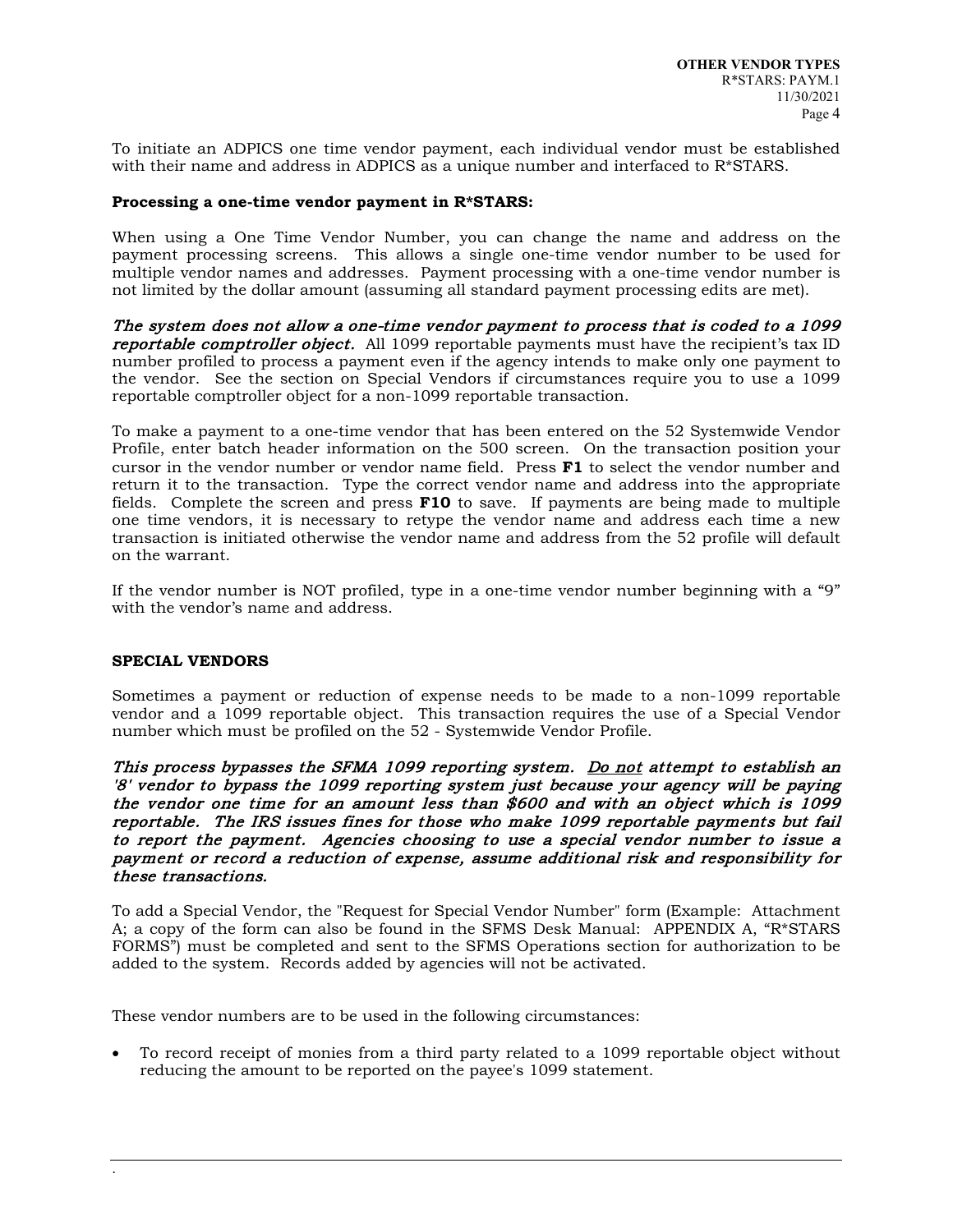To initiate an ADPICS one time vendor payment, each individual vendor must be established with their name and address in ADPICS as a unique number and interfaced to R\*STARS.

### **Processing a one-time vendor payment in R\*STARS:**

When using a One Time Vendor Number, you can change the name and address on the payment processing screens. This allows a single one-time vendor number to be used for multiple vendor names and addresses. Payment processing with a one-time vendor number is not limited by the dollar amount (assuming all standard payment processing edits are met).

The system does not allow a one-time vendor payment to process that is coded to a 1099 reportable comptroller object. All 1099 reportable payments must have the recipient's tax ID number profiled to process a payment even if the agency intends to make only one payment to the vendor. See the section on Special Vendors if circumstances require you to use a 1099 reportable comptroller object for a non-1099 reportable transaction.

To make a payment to a one-time vendor that has been entered on the 52 Systemwide Vendor Profile, enter batch header information on the 500 screen. On the transaction position your cursor in the vendor number or vendor name field. Press **F1** to select the vendor number and return it to the transaction. Type the correct vendor name and address into the appropriate fields. Complete the screen and press **F10** to save. If payments are being made to multiple one time vendors, it is necessary to retype the vendor name and address each time a new transaction is initiated otherwise the vendor name and address from the 52 profile will default on the warrant.

If the vendor number is NOT profiled, type in a one-time vendor number beginning with a "9" with the vendor's name and address.

#### **SPECIAL VENDORS**

Sometimes a payment or reduction of expense needs to be made to a non-1099 reportable vendor and a 1099 reportable object. This transaction requires the use of a Special Vendor number which must be profiled on the 52 - Systemwide Vendor Profile.

This process bypasses the SFMA 1099 reporting system. Do not attempt to establish an '8' vendor to bypass the 1099 reporting system just because your agency will be paying the vendor one time for an amount less than \$600 and with an object which is 1099 reportable. The IRS issues fines for those who make 1099 reportable payments but fail to report the payment. Agencies choosing to use a special vendor number to issue a payment or record a reduction of expense, assume additional risk and responsibility for these transactions.

To add a Special Vendor, the "Request for Special Vendor Number" form (Example: Attachment A; a copy of the form can also be found in the SFMS Desk Manual: APPENDIX A, "R\*STARS FORMS") must be completed and sent to the SFMS Operations section for authorization to be added to the system. Records added by agencies will not be activated.

These vendor numbers are to be used in the following circumstances:

• To record receipt of monies from a third party related to a 1099 reportable object without reducing the amount to be reported on the payee's 1099 statement.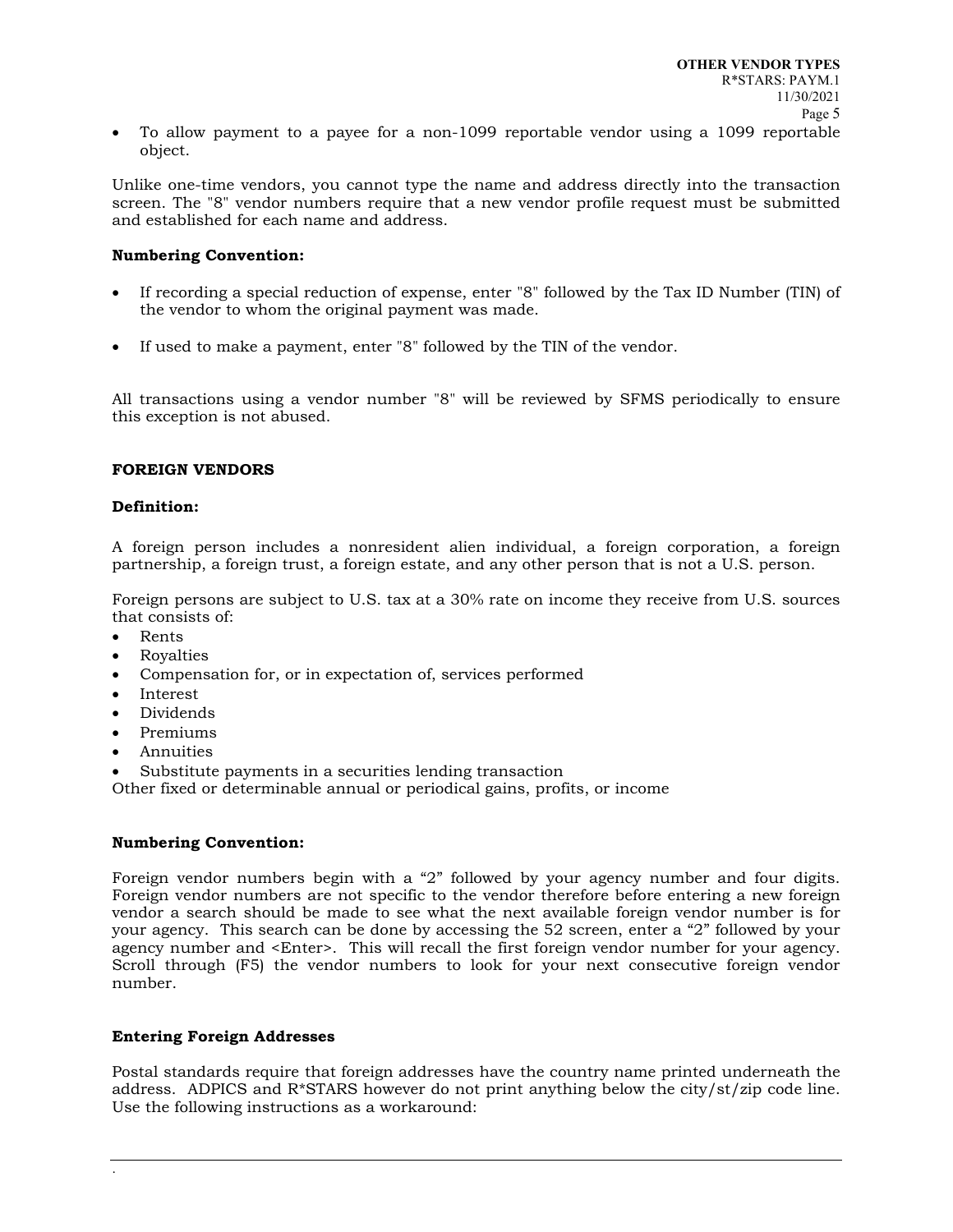• To allow payment to a payee for a non-1099 reportable vendor using a 1099 reportable object.

Unlike one-time vendors, you cannot type the name and address directly into the transaction screen. The "8" vendor numbers require that a new vendor profile request must be submitted and established for each name and address.

### **Numbering Convention:**

- If recording a special reduction of expense, enter "8" followed by the Tax ID Number (TIN) of the vendor to whom the original payment was made.
- If used to make a payment, enter "8" followed by the TIN of the vendor.

All transactions using a vendor number "8" will be reviewed by SFMS periodically to ensure this exception is not abused.

#### **FOREIGN VENDORS**

#### **Definition:**

A foreign person includes a nonresident alien individual, a foreign corporation, a foreign partnership, a foreign trust, a foreign estate, and any other person that is not a U.S. person.

Foreign persons are subject to U.S. tax at a 30% rate on income they receive from U.S. sources that consists of:

- Rents
- Royalties
- Compensation for, or in expectation of, services performed
- Interest
- Dividends
- Premiums
- Annuities
- Substitute payments in a securities lending transaction

Other fixed or determinable annual or periodical gains, profits, or income

#### **Numbering Convention:**

Foreign vendor numbers begin with a "2" followed by your agency number and four digits. Foreign vendor numbers are not specific to the vendor therefore before entering a new foreign vendor a search should be made to see what the next available foreign vendor number is for your agency. This search can be done by accessing the 52 screen, enter a "2" followed by your agency number and <Enter>. This will recall the first foreign vendor number for your agency. Scroll through (F5) the vendor numbers to look for your next consecutive foreign vendor number.

### **Entering Foreign Addresses**

Postal standards require that foreign addresses have the country name printed underneath the address. ADPICS and R\*STARS however do not print anything below the city/st/zip code line. Use the following instructions as a workaround: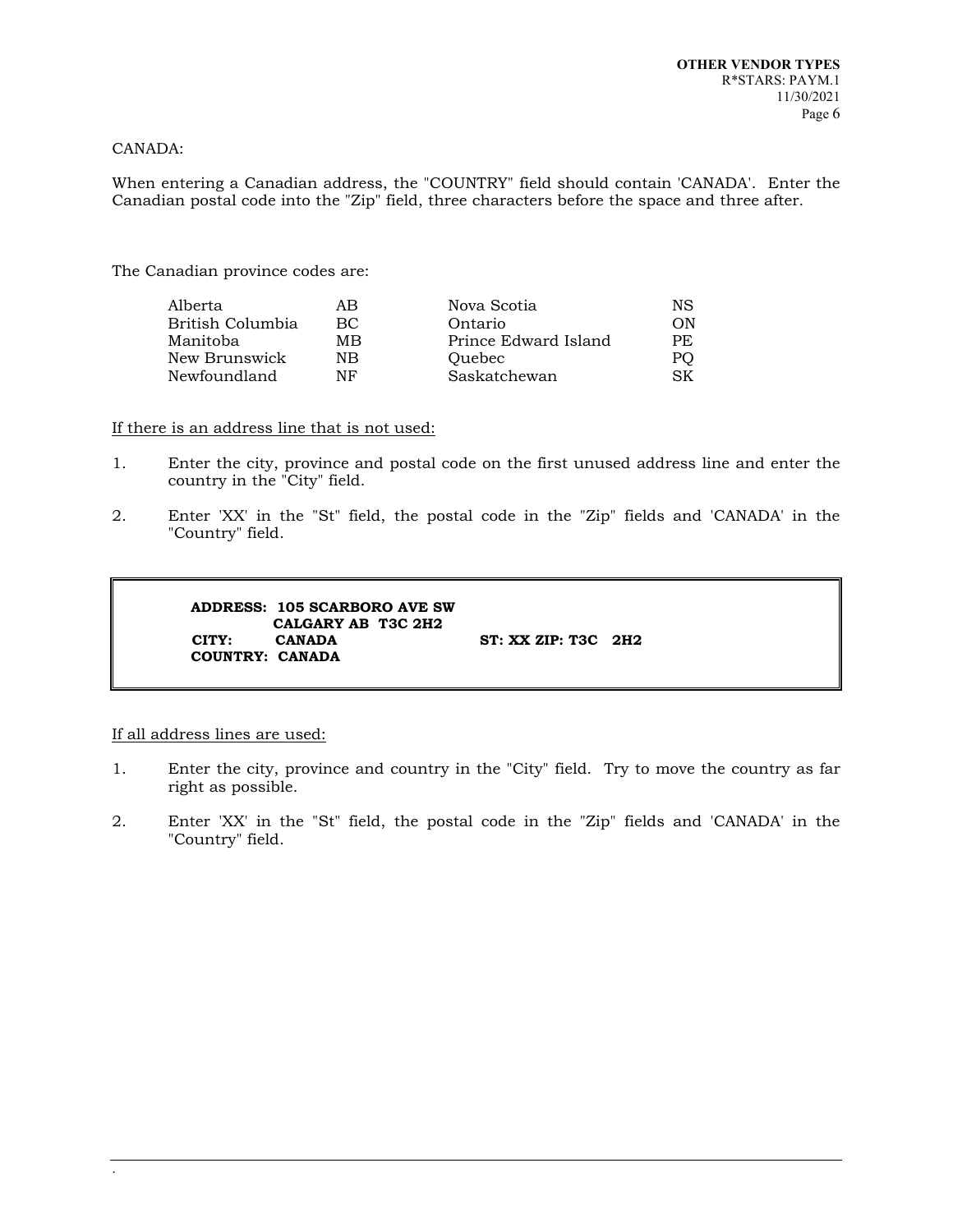#### CANADA:

When entering a Canadian address, the "COUNTRY" field should contain 'CANADA'. Enter the Canadian postal code into the "Zip" field, three characters before the space and three after.

The Canadian province codes are:

| ΑB  | Nova Scotia          | NS  |
|-----|----------------------|-----|
| BC. | Ontario              | OΝ  |
| MВ  | Prince Edward Island | PE. |
| NB  | <b>Ouebec</b>        | PO  |
| NF  | Saskatchewan         | SK. |
|     |                      |     |

If there is an address line that is not used:

- 1. Enter the city, province and postal code on the first unused address line and enter the country in the "City" field.
- 2. Enter 'XX' in the "St" field, the postal code in the "Zip" fields and 'CANADA' in the "Country" field.

```
ADDRESS: 105 SCARBORO AVE SW
CALGARY AB T3C 2H2<br>CITY: CANADA
                                 ST: XX ZIP: T3C 2H2
COUNTRY: CANADA
```
#### If all address lines are used:

- 1. Enter the city, province and country in the "City" field. Try to move the country as far right as possible.
- 2. Enter 'XX' in the "St" field, the postal code in the "Zip" fields and 'CANADA' in the "Country" field.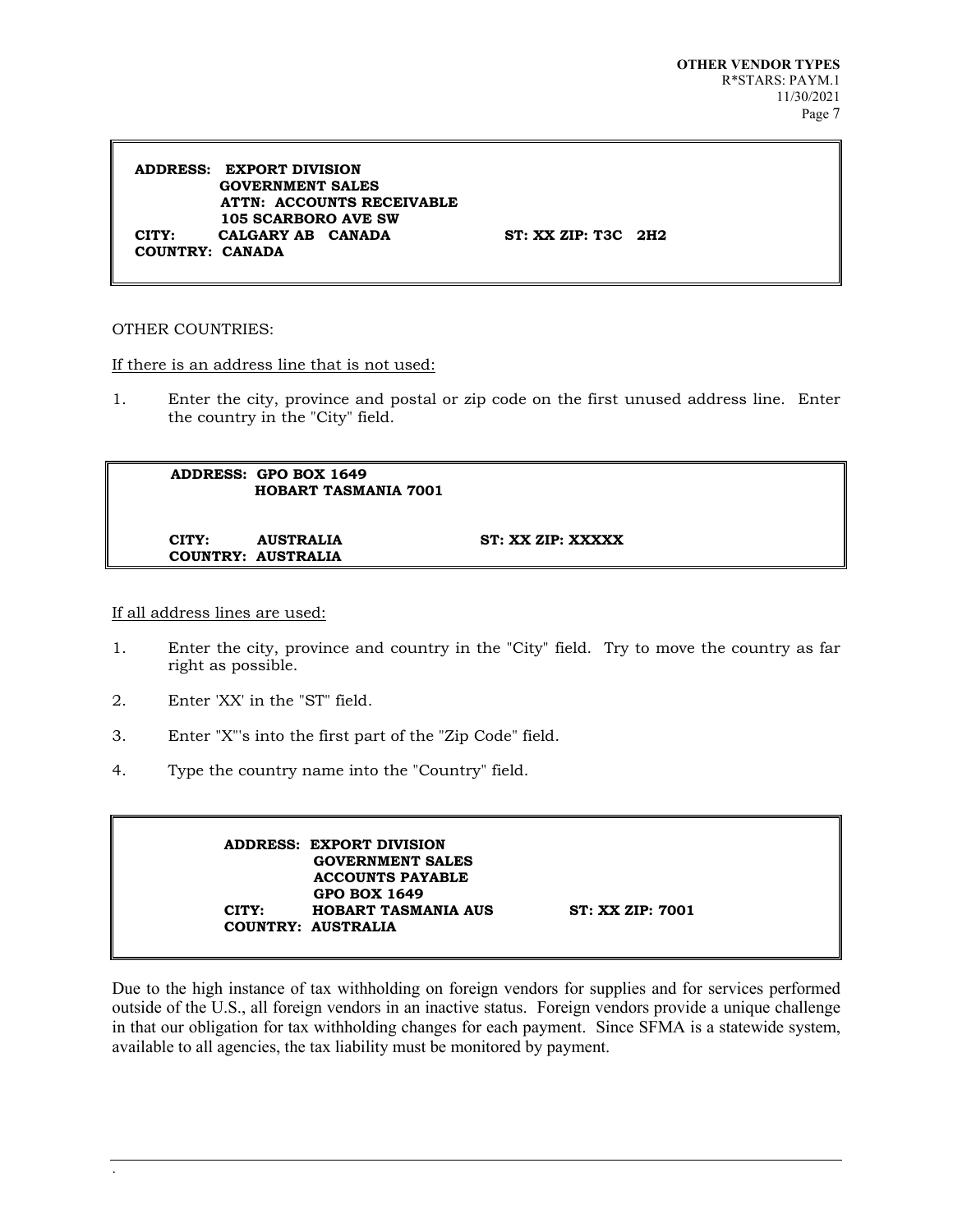**ADDRESS: EXPORT DIVISION GOVERNMENT SALES ATTN: ACCOUNTS RECEIVABLE 105 SCARBORO AVE SW CITY: CALGARY AB CANADA ST: XX ZIP: T3C 2H2 COUNTRY: CANADA**

#### OTHER COUNTRIES:

If there is an address line that is not used:

1. Enter the city, province and postal or zip code on the first unused address line. Enter the country in the "City" field.

 **ADDRESS: GPO BOX 1649 HOBART TASMANIA 7001 CITY: AUSTRALIA ST: XX ZIP: XXXXX** 

 **COUNTRY: AUSTRALIA**

If all address lines are used:

.

- 1. Enter the city, province and country in the "City" field. Try to move the country as far right as possible.
- 2. Enter 'XX' in the "ST" field.
- 3. Enter "X"'s into the first part of the "Zip Code" field.
- 4. Type the country name into the "Country" field.

 **ADDRESS: EXPORT DIVISION GOVERNMENT SALES ACCOUNTS PAYABLE** GPO BOX 1649<br>**CITY:** HOBART TASM  **FIGURE TASMANIA AUS** ST: XX ZIP: 7001  **COUNTRY: AUSTRALIA**

Due to the high instance of tax withholding on foreign vendors for supplies and for services performed outside of the U.S., all foreign vendors in an inactive status. Foreign vendors provide a unique challenge in that our obligation for tax withholding changes for each payment. Since SFMA is a statewide system, available to all agencies, the tax liability must be monitored by payment.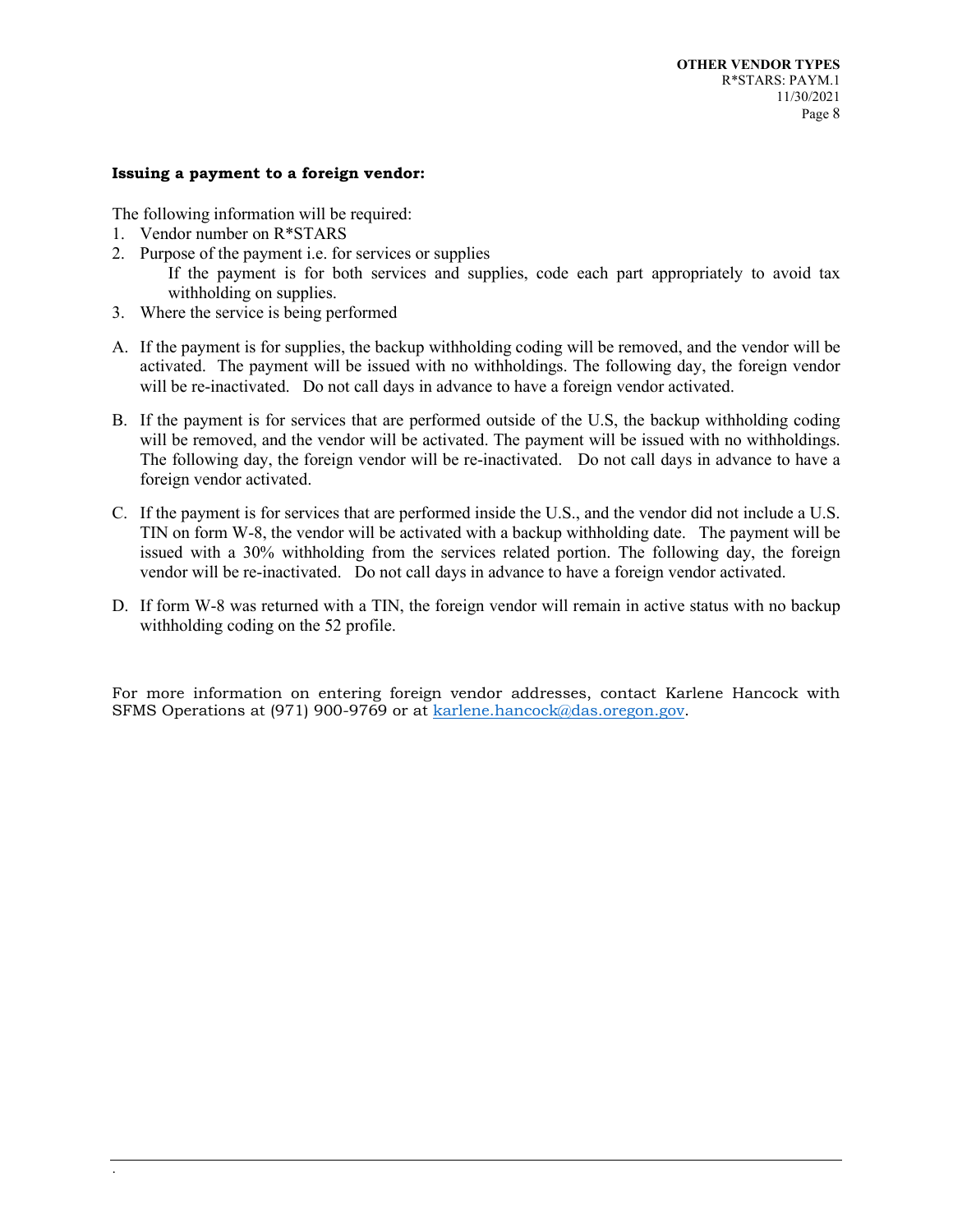### **Issuing a payment to a foreign vendor:**

The following information will be required:

- 1. Vendor number on R\*STARS
- 2. Purpose of the payment i.e. for services or supplies
	- If the payment is for both services and supplies, code each part appropriately to avoid tax withholding on supplies.
- 3. Where the service is being performed
- A. If the payment is for supplies, the backup withholding coding will be removed, and the vendor will be activated. The payment will be issued with no withholdings. The following day, the foreign vendor will be re-inactivated. Do not call days in advance to have a foreign vendor activated.
- B. If the payment is for services that are performed outside of the U.S, the backup withholding coding will be removed, and the vendor will be activated. The payment will be issued with no withholdings. The following day, the foreign vendor will be re-inactivated. Do not call days in advance to have a foreign vendor activated.
- C. If the payment is for services that are performed inside the U.S., and the vendor did not include a U.S. TIN on form W-8, the vendor will be activated with a backup withholding date. The payment will be issued with a 30% withholding from the services related portion. The following day, the foreign vendor will be re-inactivated. Do not call days in advance to have a foreign vendor activated.
- D. If form W-8 was returned with a TIN, the foreign vendor will remain in active status with no backup withholding coding on the 52 profile.

For more information on entering foreign vendor addresses, contact Karlene Hancock with SFMS Operations at (971) 900-9769 or at [karlene.hancock@das.oregon.gov.](mailto:karlene.hancock@das.oregon.gov)